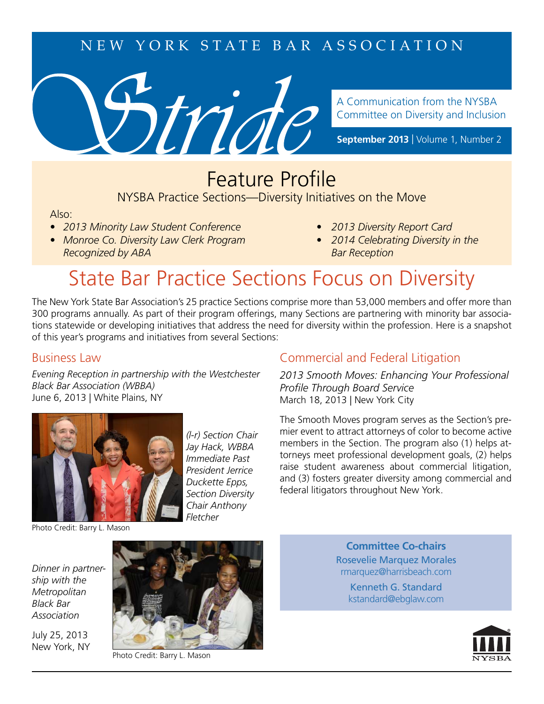### NEW YORK STATE BAR ASSOCIATION



A Communication from the NYSBA Committee on Diversity and Inclusion

**September 2013** | Volume 1, Number 2

### **Feature Profile** NYSBA Practice Sections—Diversity Initiatives on the Move

#### Also:

- *2013 Minority Law Student Conference 2013 Diversity Report Card*
- *Monroe Co. Diversity Law Clerk Program 2014 Celebrating Diversity in the Recognized by ABA* Bar Reception
- 
- 

# State Bar Practice Sections Focus on Diversity

The New York State Bar Association's 25 practice Sections comprise more than 53,000 members and offer more than 300 programs annually. As part of their program offerings, many Sections are partnering with minority bar associations statewide or developing initiatives that address the need for diversity within the profession. Here is a snapshot of this year's programs and initiatives from several Sections:

#### Business Law

*Evening Reception in partnership with the Westchester Black Bar Association (WBBA)*  June 6, 2013 | White Plains, NY



*(l-r) Section Chair Jay Hack, WBBA Immediate Past President Jerrice Duckette Epps, Section Diversity Chair Anthony Fletcher*

### Commercial and Federal Litigation

*2013 Smooth Moves: Enhancing Your Professional*  **Profile Through Board Service** March 18, 2013 | New York City

The Smooth Moves program serves as the Section's premier event to attract attorneys of color to become active members in the Section. The program also (1) helps attorneys meet professional development goals, (2) helps raise student awareness about commercial litigation, and (3) fosters greater diversity among commercial and federal litigators throughout New York.

Photo Credit: Barry L. Mason

*Dinner in partnership with the Metropolitan Black Bar Association*

July 25, 2013 New York, NY



Photo Credit: Barry L. Mason

**Committee Co-chairs** Rosevelie Marquez Morales rmarquez@harrisbeach.com

Kenneth G. Standard kstandard@ebglaw.com

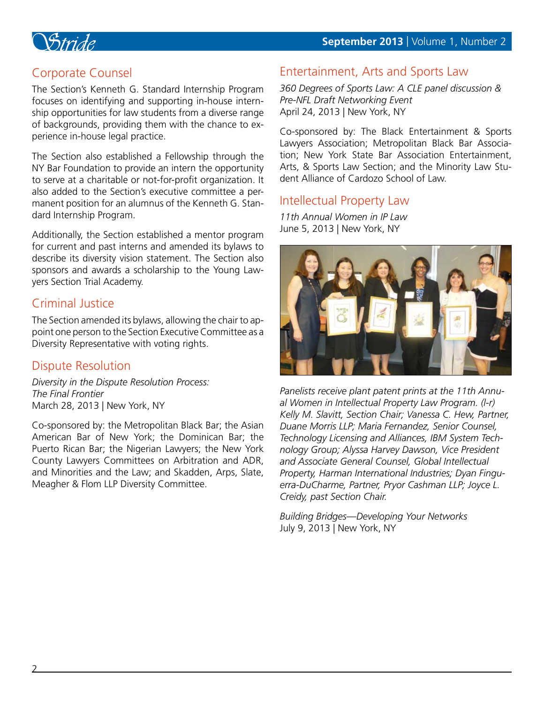

### Corporate Counsel

The Section's Kenneth G. Standard Internship Program focuses on identifying and supporting in-house internship opportunities for law students from a diverse range of backgrounds, providing them with the chance to experience in-house legal practice.

The Section also established a Fellowship through the NY Bar Foundation to provide an intern the opportunity to serve at a charitable or not-for-profit organization. It also added to the Section's executive committee a permanent position for an alumnus of the Kenneth G. Standard Internship Program.

Additionally, the Section established a mentor program for current and past interns and amended its bylaws to describe its diversity vision statement. The Section also sponsors and awards a scholarship to the Young Lawyers Section Trial Academy.

### Criminal Justice

The Section amended its bylaws, allowing the chair to appoint one person to the Section Executive Committee as a Diversity Representative with voting rights.

#### Dispute Resolution

*Diversity in the Dispute Resolution Process: The Final Frontier* March 28, 2013 | New York, NY

Co-sponsored by: the Metropolitan Black Bar; the Asian American Bar of New York; the Dominican Bar; the Puerto Rican Bar; the Nigerian Lawyers; the New York County Lawyers Committees on Arbitration and ADR, and Minorities and the Law; and Skadden, Arps, Slate, Meagher & Flom LLP Diversity Committee.

### Entertainment, Arts and Sports Law

*360 Degrees of Sports Law: A CLE panel discussion & Pre-NFL Draft Networking Event* April 24, 2013 | New York, NY

Co-sponsored by: The Black Entertainment & Sports Lawyers Association; Metropolitan Black Bar Association; New York State Bar Association Entertainment, Arts, & Sports Law Section; and the Minority Law Student Alliance of Cardozo School of Law.

#### Intellectual Property Law

*11th Annual Women in IP Law*  June 5, 2013 | New York, NY



*Panelists receive plant patent prints at the 11th Annual Women in Intellectual Property Law Program. (l-r) Kelly M. Slavitt, Section Chair; Vanessa C. Hew, Partner, Duane Morris LLP; Maria Fernandez, Senior Counsel, Technology Licensing and Alliances, IBM System Technology Group; Alyssa Harvey Dawson, Vice President and Associate General Counsel, Global Intellectual Property, Harman International Industries; Dyan Finguerra-DuCharme, Partner, Pryor Cashman LLP; Joyce L. Creidy, past Section Chair.*

*Building Bridges—Developing Your Networks* July 9, 2013 | New York, NY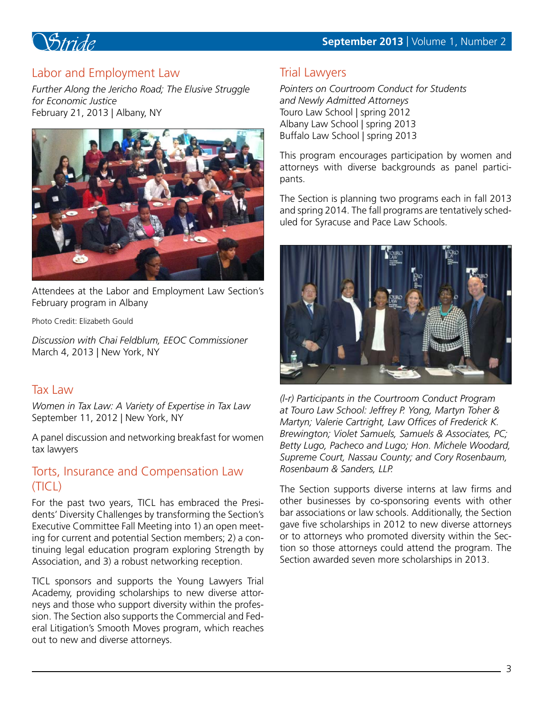

### Labor and Employment Law

*Further Along the Jericho Road; The Elusive Struggle for Economic Justice* February 21, 2013 | Albany, NY



Attendees at the Labor and Employment Law Section's February program in Albany

Photo Credit: Elizabeth Gould

*Discussion with Chai Feldblum, EEOC Commissioner* March 4, 2013 | New York, NY

#### Tax Law

*Women in Tax Law: A Variety of Expertise in Tax Law* September 11, 2012 | New York, NY

A panel discussion and networking breakfast for women tax lawyers

#### Torts, Insurance and Compensation Law (TICL)

For the past two years, TICL has embraced the Presidents' Diversity Challenges by transforming the Section's Executive Committee Fall Meeting into 1) an open meeting for current and potential Section members; 2) a continuing legal education program exploring Strength by Association, and 3) a robust networking reception.

TICL sponsors and supports the Young Lawyers Trial Academy, providing scholarships to new diverse attorneys and those who support diversity within the profession. The Section also supports the Commercial and Federal Litigation's Smooth Moves program, which reaches out to new and diverse attorneys.

### Trial Lawyers

*Pointers on Courtroom Conduct for Students and Newly Admitted Attorneys* Touro Law School | spring 2012 Albany Law School | spring 2013 Buffalo Law School | spring 2013

This program encourages participation by women and attorneys with diverse backgrounds as panel participants.

The Section is planning two programs each in fall 2013 and spring 2014. The fall programs are tentatively scheduled for Syracuse and Pace Law Schools.



*(l-r) Participants in the Courtroom Conduct Program at Touro Law School: Jeffrey P. Yong, Martyn Toher & Martyn; Valerie Cartright, Law Offices of Frederick K. Brewington; Violet Samuels, Samuels & Associates, PC; Betty Lugo, Pacheco and Lugo; Hon. Michele Woodard, Supreme Court, Nassau County; and Cory Rosenbaum, Rosenbaum & Sanders, LLP.*

The Section supports diverse interns at law firms and other businesses by co-sponsoring events with other bar associations or law schools. Additionally, the Section gave five scholarships in 2012 to new diverse attorneys or to attorneys who promoted diversity within the Section so those attorneys could attend the program. The Section awarded seven more scholarships in 2013.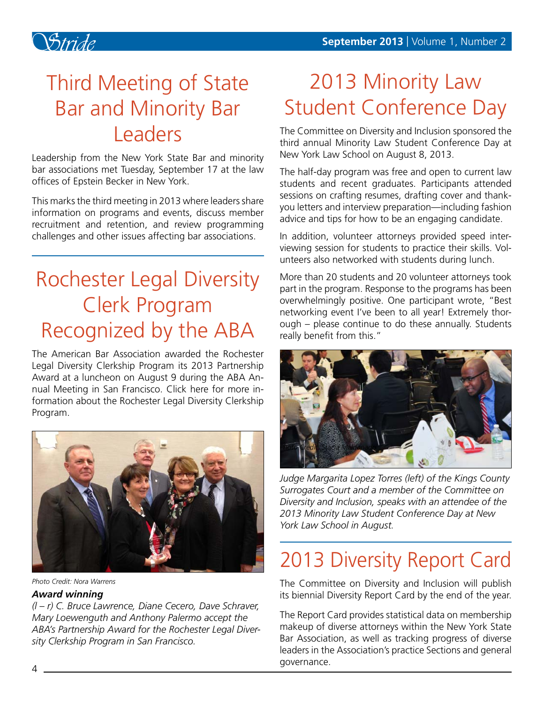

# Third Meeting of State Bar and Minority Bar **Leaders**

Leadership from the New York State Bar and minority bar associations met Tuesday, September 17 at the law offices of Epstein Becker in New York.

This marks the third meeting in 2013 where leaders share information on programs and events, discuss member recruitment and retention, and review programming challenges and other issues affecting bar associations.

# Rochester Legal Diversity Clerk Program Recognized by the ABA

The American Bar Association awarded the Rochester Legal Diversity Clerkship Program its 2013 Partnership Award at a luncheon on August 9 during the ABA Annual Meeting in San Francisco. Click here for more information about the Rochester Legal Diversity Clerkship Program.



*Photo Credit: Nora Warrens*

#### *Award winning*

*(l – r) C. Bruce Lawrence, Diane Cecero, Dave Schraver, Mary Loewenguth and Anthony Palermo accept the ABA's Partnership Award for the Rochester Legal Diversity Clerkship Program in San Francisco.*

# 2013 Minority Law Student Conference Day

The Committee on Diversity and Inclusion sponsored the third annual Minority Law Student Conference Day at New York Law School on August 8, 2013.

The half-day program was free and open to current law students and recent graduates. Participants attended sessions on crafting resumes, drafting cover and thankyou letters and interview preparation—including fashion advice and tips for how to be an engaging candidate.

In addition, volunteer attorneys provided speed interviewing session for students to practice their skills. Volunteers also networked with students during lunch.

More than 20 students and 20 volunteer attorneys took part in the program. Response to the programs has been overwhelmingly positive. One participant wrote, "Best networking event I've been to all year! Extremely thorough – please continue to do these annually. Students really benefit from this."



*Judge Margarita Lopez Torres (left) of the Kings County Surrogates Court and a member of the Committee on Diversity and Inclusion, speaks with an attendee of the 2013 Minority Law Student Conference Day at New York Law School in August.*

# 2013 Diversity Report Card

The Committee on Diversity and Inclusion will publish its biennial Diversity Report Card by the end of the year.

The Report Card provides statistical data on membership makeup of diverse attorneys within the New York State Bar Association, as well as tracking progress of diverse leaders in the Association's practice Sections and general governance.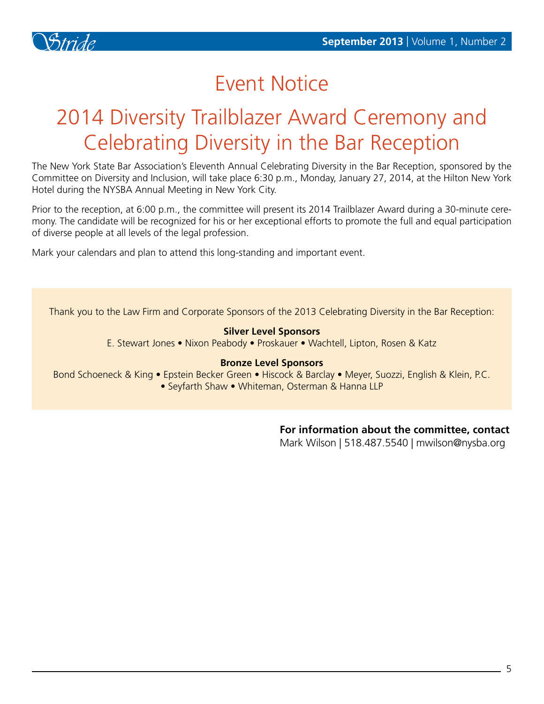

## Event Notice

# 2014 Diversity Trailblazer Award Ceremony and Celebrating Diversity in the Bar Reception

The New York State Bar Association's Eleventh Annual Celebrating Diversity in the Bar Reception, sponsored by the Committee on Diversity and Inclusion, will take place 6:30 p.m., Monday, January 27, 2014, at the Hilton New York Hotel during the NYSBA Annual Meeting in New York City.

Prior to the reception, at 6:00 p.m., the committee will present its 2014 Trailblazer Award during a 30-minute ceremony. The candidate will be recognized for his or her exceptional efforts to promote the full and equal participation of diverse people at all levels of the legal profession.

Mark your calendars and plan to attend this long-standing and important event.

Thank you to the Law Firm and Corporate Sponsors of the 2013 Celebrating Diversity in the Bar Reception:

#### **Silver Level Sponsors**

E. Stewart Jones • Nixon Peabody • Proskauer • Wachtell, Lipton, Rosen & Katz

#### **Bronze Level Sponsors**

Bond Schoeneck & King • Epstein Becker Green • Hiscock & Barclay • Meyer, Suozzi, English & Klein, P.C. • Seyfarth Shaw • Whiteman, Osterman & Hanna LLP

#### **For information about the committee, contact**

Mark Wilson | 518.487.5540 | mwilson@nysba.org